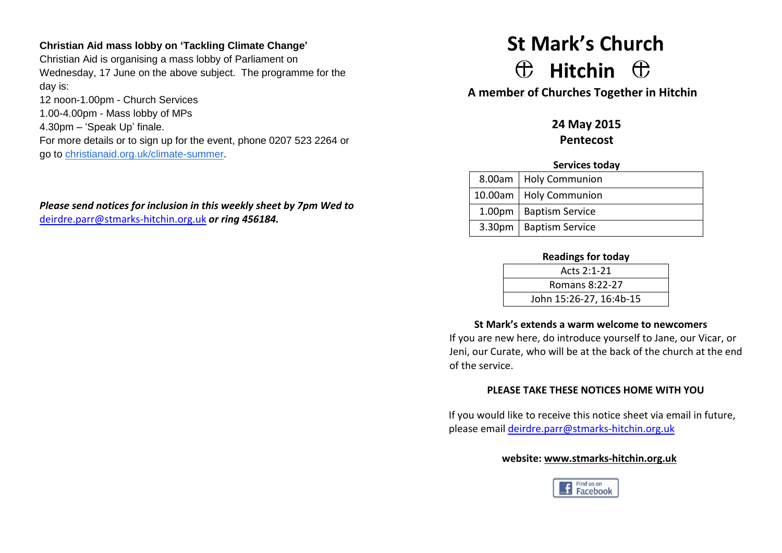## **Christian Aid mass lobby on 'Tackling Climate Change'**

Christian Aid is organising a mass lobby of Parliament on Wednesday, 17 June on the above subject. The programme for the day is:

12 noon-1.00pm - Church Services 1.00-4.00pm - Mass lobby of MPs 4.30pm – 'Speak Up' finale. For more details or to sign up for the event, phone 0207 523 2264 or go to [christianaid.org.uk/climate-summer.](http://christianaid.org.uk/climate-summer)

*Please send notices for inclusion in this weekly sheet by 7pm Wed to*  [deirdre.parr@stmarks-hitchin.org.uk](mailto:deirdre.parr@stmarks-hitchin.org.uk) *or ring 456184.*

# **St Mark's Church**  $\oplus$  Hitchin  $\oplus$

**A member of Churches Together in Hitchin**

**24 May 2015 Pentecost**

#### **Services today**

| 8.00am   Holy Communion  |
|--------------------------|
| 10.00am   Holy Communion |
| 1.00pm   Baptism Service |
| 3.30pm   Baptism Service |

## **Readings for today**

| Acts 2:1-21             |  |
|-------------------------|--|
| Romans 8:22-27          |  |
| John 15:26-27, 16:4b-15 |  |

## **St Mark's extends a warm welcome to newcomers**

If you are new here, do introduce yourself to Jane, our Vicar, or Jeni, our Curate, who will be at the back of the church at the end of the service.

# **PLEASE TAKE THESE NOTICES HOME WITH YOU**

If you would like to receive this notice sheet via email in future, please email [deirdre.parr@stmarks-hitchin.org.uk](mailto:deirdre.parr@stmarks-hitchin.org.uk)

## **website: [www.stmarks-hitchin.org.uk](http://www.stmarks-hitchin.org.uk/)**